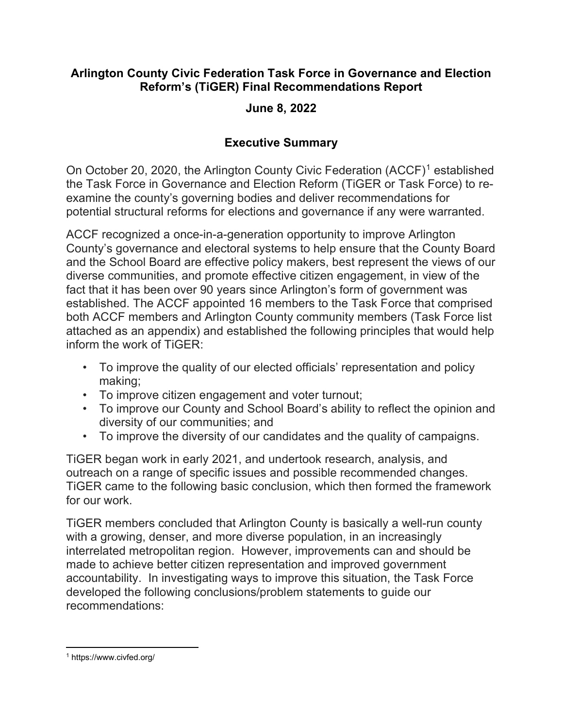## Arlington County Civic Federation Task Force in Governance and Election Reform's (TiGER) Final Recommendations Report

## June 8, 2022

# Executive Summary

On October 20, 2020, the Arlington County Civic Federation (ACCF)<sup>1</sup> established the Task Force in Governance and Election Reform (TiGER or Task Force) to reexamine the county's governing bodies and deliver recommendations for potential structural reforms for elections and governance if any were warranted.

ACCF recognized a once-in-a-generation opportunity to improve Arlington County's governance and electoral systems to help ensure that the County Board and the School Board are effective policy makers, best represent the views of our diverse communities, and promote effective citizen engagement, in view of the fact that it has been over 90 years since Arlington's form of government was established. The ACCF appointed 16 members to the Task Force that comprised both ACCF members and Arlington County community members (Task Force list attached as an appendix) and established the following principles that would help inform the work of TiGER:

- To improve the quality of our elected officials' representation and policy making;
- To improve citizen engagement and voter turnout;
- To improve our County and School Board's ability to reflect the opinion and diversity of our communities; and
- To improve the diversity of our candidates and the quality of campaigns.

TiGER began work in early 2021, and undertook research, analysis, and outreach on a range of specific issues and possible recommended changes. TiGER came to the following basic conclusion, which then formed the framework for our work.

TiGER members concluded that Arlington County is basically a well-run county with a growing, denser, and more diverse population, in an increasingly interrelated metropolitan region. However, improvements can and should be made to achieve better citizen representation and improved government accountability. In investigating ways to improve this situation, the Task Force developed the following conclusions/problem statements to guide our recommendations:

<sup>1</sup> https://www.civfed.org/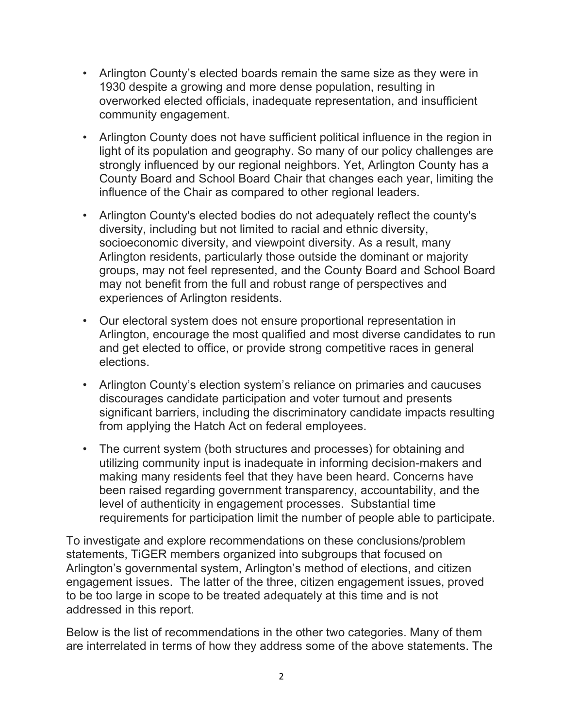- Arlington County's elected boards remain the same size as they were in 1930 despite a growing and more dense population, resulting in overworked elected officials, inadequate representation, and insufficient community engagement.
- Arlington County does not have sufficient political influence in the region in light of its population and geography. So many of our policy challenges are strongly influenced by our regional neighbors. Yet, Arlington County has a County Board and School Board Chair that changes each year, limiting the influence of the Chair as compared to other regional leaders.
- Arlington County's elected bodies do not adequately reflect the county's diversity, including but not limited to racial and ethnic diversity, socioeconomic diversity, and viewpoint diversity. As a result, many Arlington residents, particularly those outside the dominant or majority groups, may not feel represented, and the County Board and School Board may not benefit from the full and robust range of perspectives and experiences of Arlington residents.
- Our electoral system does not ensure proportional representation in Arlington, encourage the most qualified and most diverse candidates to run and get elected to office, or provide strong competitive races in general elections.
- Arlington County's election system's reliance on primaries and caucuses discourages candidate participation and voter turnout and presents significant barriers, including the discriminatory candidate impacts resulting from applying the Hatch Act on federal employees.
- The current system (both structures and processes) for obtaining and utilizing community input is inadequate in informing decision-makers and making many residents feel that they have been heard. Concerns have been raised regarding government transparency, accountability, and the level of authenticity in engagement processes. Substantial time requirements for participation limit the number of people able to participate.

To investigate and explore recommendations on these conclusions/problem statements, TiGER members organized into subgroups that focused on Arlington's governmental system, Arlington's method of elections, and citizen engagement issues. The latter of the three, citizen engagement issues, proved to be too large in scope to be treated adequately at this time and is not addressed in this report.

Below is the list of recommendations in the other two categories. Many of them are interrelated in terms of how they address some of the above statements. The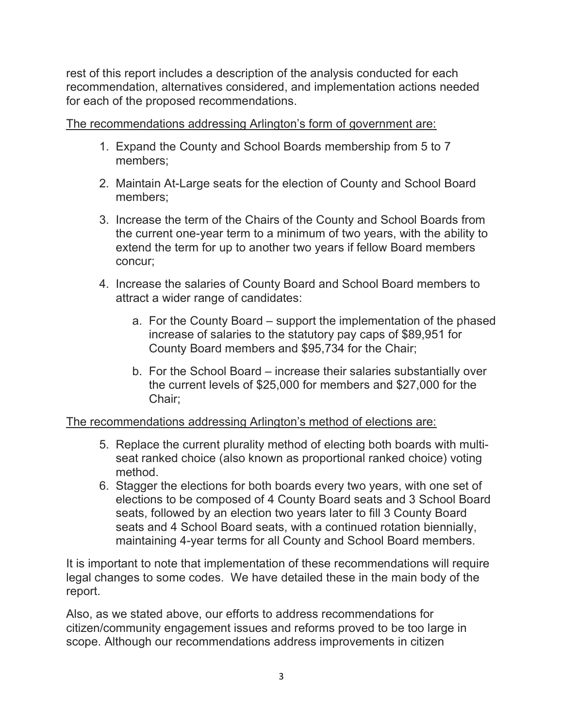rest of this report includes a description of the analysis conducted for each recommendation, alternatives considered, and implementation actions needed for each of the proposed recommendations.

The recommendations addressing Arlington's form of government are:

- 1. Expand the County and School Boards membership from 5 to 7 members;
- 2. Maintain At-Large seats for the election of County and School Board members;
- 3. Increase the term of the Chairs of the County and School Boards from the current one-year term to a minimum of two years, with the ability to extend the term for up to another two years if fellow Board members concur;
- 4. Increase the salaries of County Board and School Board members to attract a wider range of candidates:
	- a. For the County Board support the implementation of the phased increase of salaries to the statutory pay caps of \$89,951 for County Board members and \$95,734 for the Chair;
	- b. For the School Board increase their salaries substantially over the current levels of \$25,000 for members and \$27,000 for the Chair;

The recommendations addressing Arlington's method of elections are:

- 5. Replace the current plurality method of electing both boards with multiseat ranked choice (also known as proportional ranked choice) voting method.
- 6. Stagger the elections for both boards every two years, with one set of elections to be composed of 4 County Board seats and 3 School Board seats, followed by an election two years later to fill 3 County Board seats and 4 School Board seats, with a continued rotation biennially, maintaining 4-year terms for all County and School Board members.

It is important to note that implementation of these recommendations will require legal changes to some codes. We have detailed these in the main body of the report.

Also, as we stated above, our efforts to address recommendations for citizen/community engagement issues and reforms proved to be too large in scope. Although our recommendations address improvements in citizen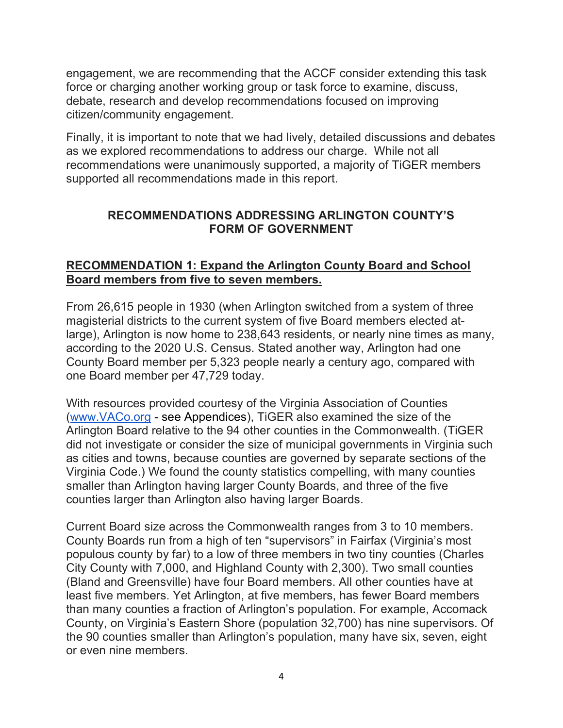engagement, we are recommending that the ACCF consider extending this task force or charging another working group or task force to examine, discuss, debate, research and develop recommendations focused on improving citizen/community engagement.

Finally, it is important to note that we had lively, detailed discussions and debates as we explored recommendations to address our charge. While not all recommendations were unanimously supported, a majority of TiGER members supported all recommendations made in this report.

## RECOMMENDATIONS ADDRESSING ARLINGTON COUNTY'S FORM OF GOVERNMENT

## RECOMMENDATION 1: Expand the Arlington County Board and School Board members from five to seven members.

From 26,615 people in 1930 (when Arlington switched from a system of three magisterial districts to the current system of five Board members elected atlarge), Arlington is now home to 238,643 residents, or nearly nine times as many, according to the 2020 U.S. Census. Stated another way, Arlington had one County Board member per 5,323 people nearly a century ago, compared with one Board member per 47,729 today.

With resources provided courtesy of the Virginia Association of Counties (www.VACo.org - see Appendices), TiGER also examined the size of the Arlington Board relative to the 94 other counties in the Commonwealth. (TiGER did not investigate or consider the size of municipal governments in Virginia such as cities and towns, because counties are governed by separate sections of the Virginia Code.) We found the county statistics compelling, with many counties smaller than Arlington having larger County Boards, and three of the five counties larger than Arlington also having larger Boards.

Current Board size across the Commonwealth ranges from 3 to 10 members. County Boards run from a high of ten "supervisors" in Fairfax (Virginia's most populous county by far) to a low of three members in two tiny counties (Charles City County with 7,000, and Highland County with 2,300). Two small counties (Bland and Greensville) have four Board members. All other counties have at least five members. Yet Arlington, at five members, has fewer Board members than many counties a fraction of Arlington's population. For example, Accomack County, on Virginia's Eastern Shore (population 32,700) has nine supervisors. Of the 90 counties smaller than Arlington's population, many have six, seven, eight or even nine members.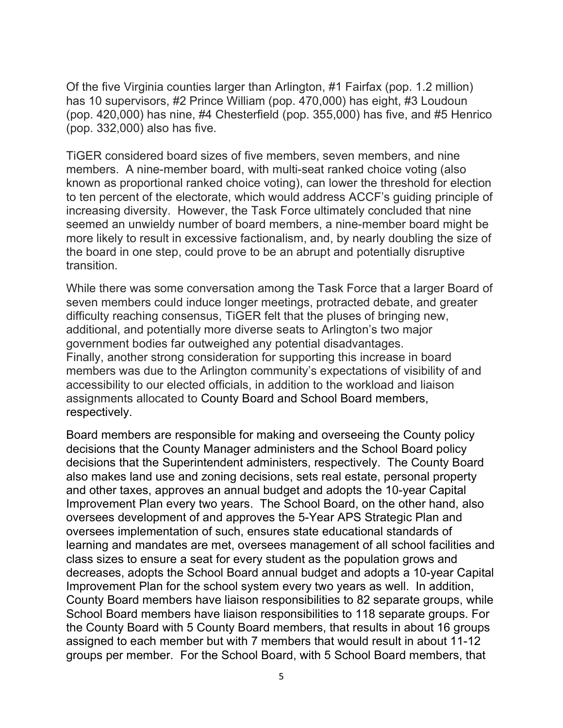Of the five Virginia counties larger than Arlington, #1 Fairfax (pop. 1.2 million) has 10 supervisors, #2 Prince William (pop. 470,000) has eight, #3 Loudoun (pop. 420,000) has nine, #4 Chesterfield (pop. 355,000) has five, and #5 Henrico (pop. 332,000) also has five.

TiGER considered board sizes of five members, seven members, and nine members. A nine-member board, with multi-seat ranked choice voting (also known as proportional ranked choice voting), can lower the threshold for election to ten percent of the electorate, which would address ACCF's guiding principle of increasing diversity. However, the Task Force ultimately concluded that nine seemed an unwieldy number of board members, a nine-member board might be more likely to result in excessive factionalism, and, by nearly doubling the size of the board in one step, could prove to be an abrupt and potentially disruptive transition.

While there was some conversation among the Task Force that a larger Board of seven members could induce longer meetings, protracted debate, and greater difficulty reaching consensus, TiGER felt that the pluses of bringing new, additional, and potentially more diverse seats to Arlington's two major government bodies far outweighed any potential disadvantages. Finally, another strong consideration for supporting this increase in board members was due to the Arlington community's expectations of visibility of and accessibility to our elected officials, in addition to the workload and liaison assignments allocated to County Board and School Board members, respectively.

Board members are responsible for making and overseeing the County policy decisions that the County Manager administers and the School Board policy decisions that the Superintendent administers, respectively. The County Board also makes land use and zoning decisions, sets real estate, personal property and other taxes, approves an annual budget and adopts the 10-year Capital Improvement Plan every two years. The School Board, on the other hand, also oversees development of and approves the 5-Year APS Strategic Plan and oversees implementation of such, ensures state educational standards of learning and mandates are met, oversees management of all school facilities and class sizes to ensure a seat for every student as the population grows and decreases, adopts the School Board annual budget and adopts a 10-year Capital Improvement Plan for the school system every two years as well. In addition, County Board members have liaison responsibilities to 82 separate groups, while School Board members have liaison responsibilities to 118 separate groups. For the County Board with 5 County Board members, that results in about 16 groups assigned to each member but with 7 members that would result in about 11-12 groups per member. For the School Board, with 5 School Board members, that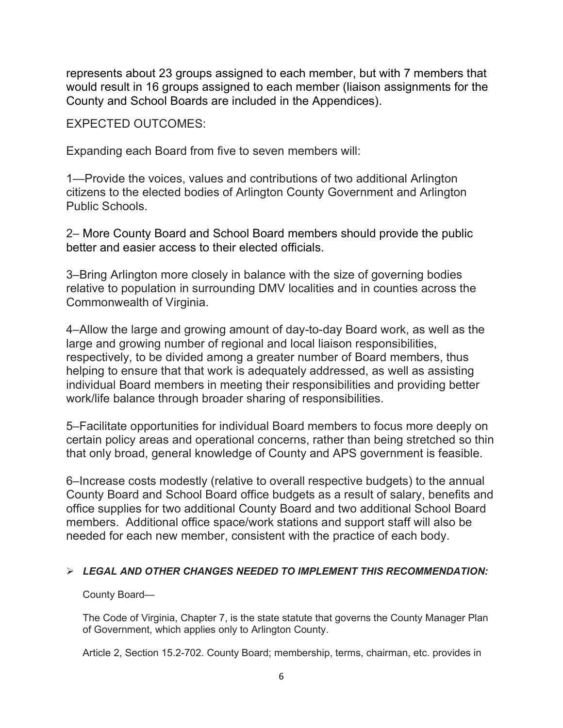represents about 23 groups assigned to each member, but with 7 members that would result in 16 groups assigned to each member (liaison assignments for the County and School Boards are included in the Appendices).

EXPECTED OUTCOMES:

Expanding each Board from five to seven members will:

1—Provide the voices, values and contributions of two additional Arlington citizens to the elected bodies of Arlington County Government and Arlington Public Schools.

2– More County Board and School Board members should provide the public better and easier access to their elected officials.

3–Bring Arlington more closely in balance with the size of governing bodies relative to population in surrounding DMV localities and in counties across the Commonwealth of Virginia.

4–Allow the large and growing amount of day-to-day Board work, as well as the large and growing number of regional and local liaison responsibilities, respectively, to be divided among a greater number of Board members, thus helping to ensure that that work is adequately addressed, as well as assisting individual Board members in meeting their responsibilities and providing better work/life balance through broader sharing of responsibilities.

5–Facilitate opportunities for individual Board members to focus more deeply on certain policy areas and operational concerns, rather than being stretched so thin that only broad, general knowledge of County and APS government is feasible.

6–Increase costs modestly (relative to overall respective budgets) to the annual County Board and School Board office budgets as a result of salary, benefits and office supplies for two additional County Board and two additional School Board members. Additional office space/work stations and support staff will also be needed for each new member, consistent with the practice of each body.

#### $\triangleright$  LEGAL AND OTHER CHANGES NEEDED TO IMPLEMENT THIS RECOMMENDATION:

County Board—

The Code of Virginia, Chapter 7, is the state statute that governs the County Manager Plan of Government, which applies only to Arlington County.

Article 2, Section 15.2-702. County Board; membership, terms, chairman, etc. provides in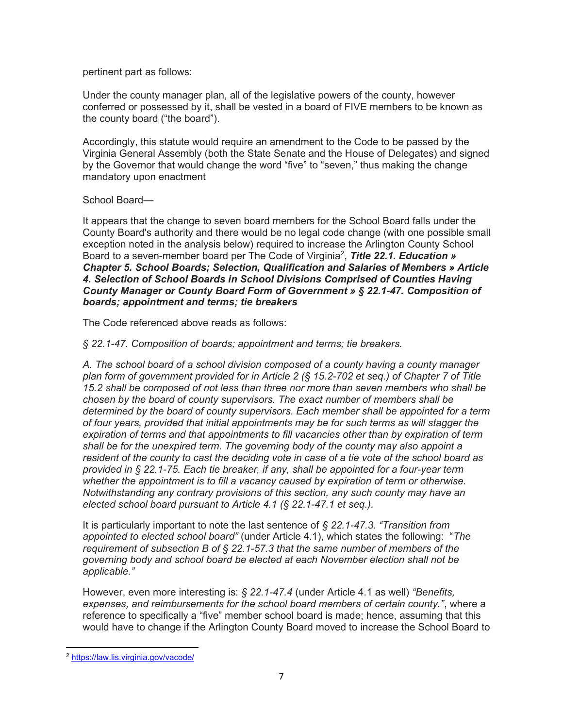pertinent part as follows:

Under the county manager plan, all of the legislative powers of the county, however conferred or possessed by it, shall be vested in a board of FIVE members to be known as the county board ("the board").

Accordingly, this statute would require an amendment to the Code to be passed by the Virginia General Assembly (both the State Senate and the House of Delegates) and signed by the Governor that would change the word "five" to "seven," thus making the change mandatory upon enactment

#### School Board—

It appears that the change to seven board members for the School Board falls under the County Board's authority and there would be no legal code change (with one possible small exception noted in the analysis below) required to increase the Arlington County School Board to a seven-member board per The Code of Virginia<sup>2</sup>, Title 22.1. Education » Chapter 5. School Boards; Selection, Qualification and Salaries of Members » Article 4. Selection of School Boards in School Divisions Comprised of Counties Having County Manager or County Board Form of Government » § 22.1-47. Composition of boards; appointment and terms; tie breakers

The Code referenced above reads as follows:

§ 22.1-47. Composition of boards; appointment and terms; tie breakers.

A. The school board of a school division composed of a county having a county manager plan form of government provided for in Article 2 (§ 15.2-702 et seq.) of Chapter 7 of Title 15.2 shall be composed of not less than three nor more than seven members who shall be chosen by the board of county supervisors. The exact number of members shall be determined by the board of county supervisors. Each member shall be appointed for a term of four years, provided that initial appointments may be for such terms as will stagger the expiration of terms and that appointments to fill vacancies other than by expiration of term shall be for the unexpired term. The governing body of the county may also appoint a resident of the county to cast the deciding vote in case of a tie vote of the school board as provided in § 22.1-75. Each tie breaker, if any, shall be appointed for a four-year term whether the appointment is to fill a vacancy caused by expiration of term or otherwise. Notwithstanding any contrary provisions of this section, any such county may have an elected school board pursuant to Article 4.1 (§ 22.1-47.1 et seq.).

It is particularly important to note the last sentence of  $\S 22.1-47.3$ . "Transition from appointed to elected school board" (under Article 4.1), which states the following: "The requirement of subsection B of  $\S$  22.1-57.3 that the same number of members of the governing body and school board be elected at each November election shall not be applicable."

However, even more interesting is:  $\frac{22.1 - 47.4}{1}$  (under Article 4.1 as well) "Benefits, expenses, and reimbursements for the school board members of certain county.", where a reference to specifically a "five" member school board is made; hence, assuming that this would have to change if the Arlington County Board moved to increase the School Board to

<sup>2</sup> https://law.lis.virginia.gov/vacode/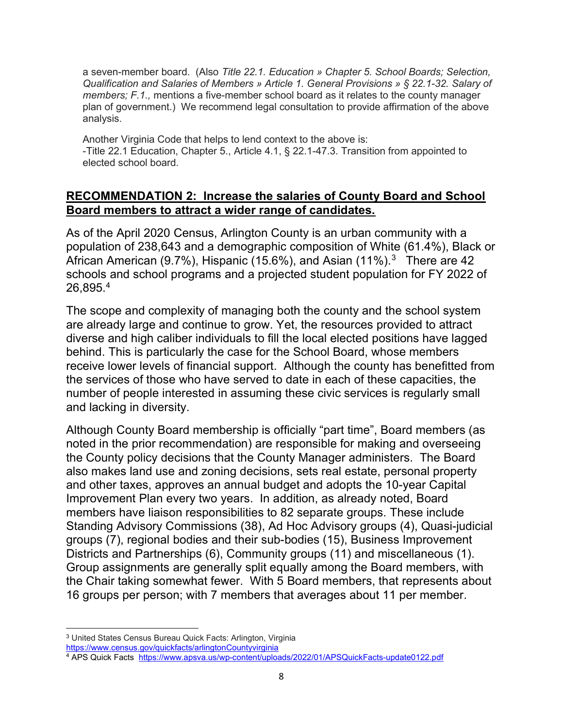a seven-member board. (Also Title 22.1. Education » Chapter 5. School Boards; Selection, Qualification and Salaries of Members » Article 1. General Provisions » § 22.1-32. Salary of members; F.1., mentions a five-member school board as it relates to the county manager plan of government.) We recommend legal consultation to provide affirmation of the above analysis.

Another Virginia Code that helps to lend context to the above is: -Title 22.1 Education, Chapter 5., Article 4.1, § 22.1-47.3. Transition from appointed to elected school board.

### RECOMMENDATION 2: Increase the salaries of County Board and School Board members to attract a wider range of candidates.

As of the April 2020 Census, Arlington County is an urban community with a population of 238,643 and a demographic composition of White (61.4%), Black or African American (9.7%), Hispanic (15.6%), and Asian (11%). $^3$  There are 42 schools and school programs and a projected student population for FY 2022 of  $26,895.^4$ 

The scope and complexity of managing both the county and the school system are already large and continue to grow. Yet, the resources provided to attract diverse and high caliber individuals to fill the local elected positions have lagged behind. This is particularly the case for the School Board, whose members receive lower levels of financial support. Although the county has benefitted from the services of those who have served to date in each of these capacities, the number of people interested in assuming these civic services is regularly small and lacking in diversity.

Although County Board membership is officially "part time", Board members (as noted in the prior recommendation) are responsible for making and overseeing the County policy decisions that the County Manager administers. The Board also makes land use and zoning decisions, sets real estate, personal property and other taxes, approves an annual budget and adopts the 10-year Capital Improvement Plan every two years. In addition, as already noted, Board members have liaison responsibilities to 82 separate groups. These include Standing Advisory Commissions (38), Ad Hoc Advisory groups (4), Quasi-judicial groups (7), regional bodies and their sub-bodies (15), Business Improvement Districts and Partnerships (6), Community groups (11) and miscellaneous (1). Group assignments are generally split equally among the Board members, with the Chair taking somewhat fewer. With 5 Board members, that represents about 16 groups per person; with 7 members that averages about 11 per member.

<sup>3</sup> United States Census Bureau Quick Facts: Arlington, Virginia

https://www.census.gov/quickfacts/arlingtonCountyvirginia

<sup>&</sup>lt;sup>4</sup> APS Quick Facts <u>https://www.apsva.us/wp-content/uploads/2022/01/APSQuickFacts-update0122.pdf</u>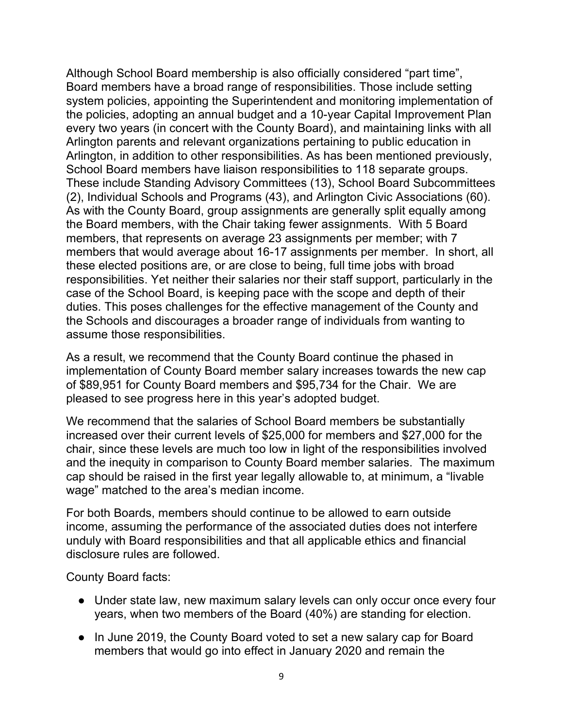Although School Board membership is also officially considered "part time", Board members have a broad range of responsibilities. Those include setting system policies, appointing the Superintendent and monitoring implementation of the policies, adopting an annual budget and a 10-year Capital Improvement Plan every two years (in concert with the County Board), and maintaining links with all Arlington parents and relevant organizations pertaining to public education in Arlington, in addition to other responsibilities. As has been mentioned previously, School Board members have liaison responsibilities to 118 separate groups. These include Standing Advisory Committees (13), School Board Subcommittees (2), Individual Schools and Programs (43), and Arlington Civic Associations (60). As with the County Board, group assignments are generally split equally among the Board members, with the Chair taking fewer assignments. With 5 Board members, that represents on average 23 assignments per member; with 7 members that would average about 16-17 assignments per member. In short, all these elected positions are, or are close to being, full time jobs with broad responsibilities. Yet neither their salaries nor their staff support, particularly in the case of the School Board, is keeping pace with the scope and depth of their duties. This poses challenges for the effective management of the County and the Schools and discourages a broader range of individuals from wanting to assume those responsibilities.

As a result, we recommend that the County Board continue the phased in implementation of County Board member salary increases towards the new cap of \$89,951 for County Board members and \$95,734 for the Chair. We are pleased to see progress here in this year's adopted budget.

We recommend that the salaries of School Board members be substantially increased over their current levels of \$25,000 for members and \$27,000 for the chair, since these levels are much too low in light of the responsibilities involved and the inequity in comparison to County Board member salaries. The maximum cap should be raised in the first year legally allowable to, at minimum, a "livable wage" matched to the area's median income.

For both Boards, members should continue to be allowed to earn outside income, assuming the performance of the associated duties does not interfere unduly with Board responsibilities and that all applicable ethics and financial disclosure rules are followed.

County Board facts:

- Under state law, new maximum salary levels can only occur once every four years, when two members of the Board (40%) are standing for election.
- In June 2019, the County Board voted to set a new salary cap for Board members that would go into effect in January 2020 and remain the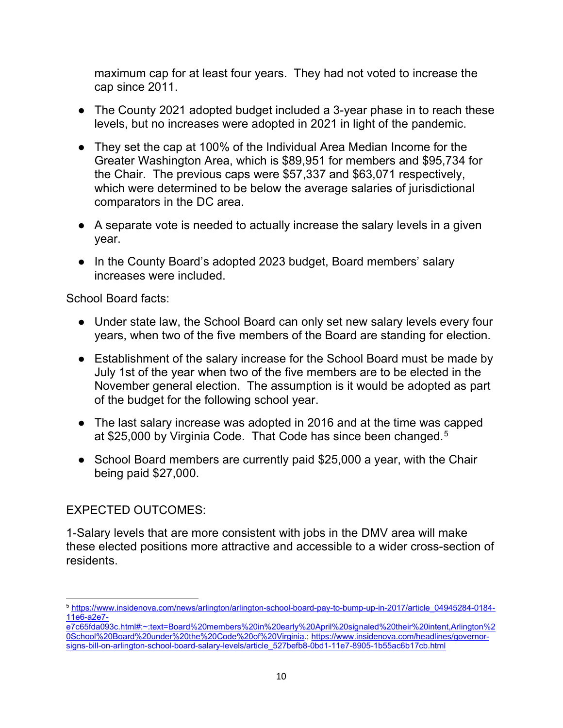maximum cap for at least four years. They had not voted to increase the cap since 2011.

- The County 2021 adopted budget included a 3-year phase in to reach these levels, but no increases were adopted in 2021 in light of the pandemic.
- They set the cap at 100% of the Individual Area Median Income for the Greater Washington Area, which is \$89,951 for members and \$95,734 for the Chair. The previous caps were \$57,337 and \$63,071 respectively, which were determined to be below the average salaries of jurisdictional comparators in the DC area.
- A separate vote is needed to actually increase the salary levels in a given year.
- In the County Board's adopted 2023 budget, Board members' salary increases were included.

School Board facts:

- Under state law, the School Board can only set new salary levels every four years, when two of the five members of the Board are standing for election.
- Establishment of the salary increase for the School Board must be made by July 1st of the year when two of the five members are to be elected in the November general election. The assumption is it would be adopted as part of the budget for the following school year.
- The last salary increase was adopted in 2016 and at the time was capped at \$25,000 by Virginia Code. That Code has since been changed.<sup>5</sup>
- School Board members are currently paid \$25,000 a year, with the Chair being paid \$27,000.

# EXPECTED OUTCOMES:

1-Salary levels that are more consistent with jobs in the DMV area will make these elected positions more attractive and accessible to a wider cross-section of residents.

<sup>5</sup> https://www.insidenova.com/news/arlington/arlington-school-board-pay-to-bump-up-in-2017/article\_04945284-0184- 11e6-a2e7-

e7c65fda093c.html#:~:text=Board%20members%20in%20early%20April%20signaled%20their%20intent,Arlington%2 0School%20Board%20under%20the%20Code%20of%20Virginia.; https://www.insidenova.com/headlines/governorsigns-bill-on-arlington-school-board-salary-levels/article\_527befb8-0bd1-11e7-8905-1b55ac6b17cb.html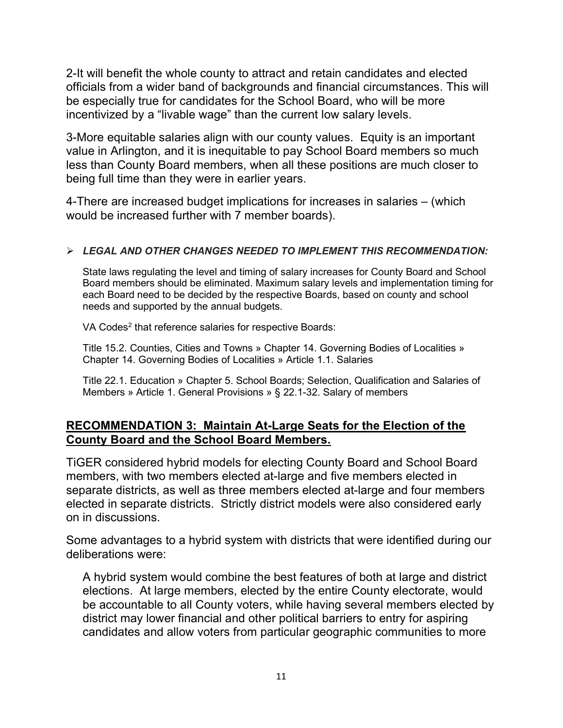2-It will benefit the whole county to attract and retain candidates and elected officials from a wider band of backgrounds and financial circumstances. This will be especially true for candidates for the School Board, who will be more incentivized by a "livable wage" than the current low salary levels.

3-More equitable salaries align with our county values. Equity is an important value in Arlington, and it is inequitable to pay School Board members so much less than County Board members, when all these positions are much closer to being full time than they were in earlier years.

4-There are increased budget implications for increases in salaries – (which would be increased further with 7 member boards).

#### $\triangleright$  LEGAL AND OTHER CHANGES NEEDED TO IMPLEMENT THIS RECOMMENDATION:

State laws regulating the level and timing of salary increases for County Board and School Board members should be eliminated. Maximum salary levels and implementation timing for each Board need to be decided by the respective Boards, based on county and school needs and supported by the annual budgets.

VA Codes<sup>2</sup> that reference salaries for respective Boards:

Title 15.2. Counties, Cities and Towns » Chapter 14. Governing Bodies of Localities » Chapter 14. Governing Bodies of Localities » Article 1.1. Salaries

Title 22.1. Education » Chapter 5. School Boards; Selection, Qualification and Salaries of Members » Article 1. General Provisions » § 22.1-32. Salary of members

### RECOMMENDATION 3: Maintain At-Large Seats for the Election of the County Board and the School Board Members.

TiGER considered hybrid models for electing County Board and School Board members, with two members elected at-large and five members elected in separate districts, as well as three members elected at-large and four members elected in separate districts. Strictly district models were also considered early on in discussions.

Some advantages to a hybrid system with districts that were identified during our deliberations were:

A hybrid system would combine the best features of both at large and district elections. At large members, elected by the entire County electorate, would be accountable to all County voters, while having several members elected by district may lower financial and other political barriers to entry for aspiring candidates and allow voters from particular geographic communities to more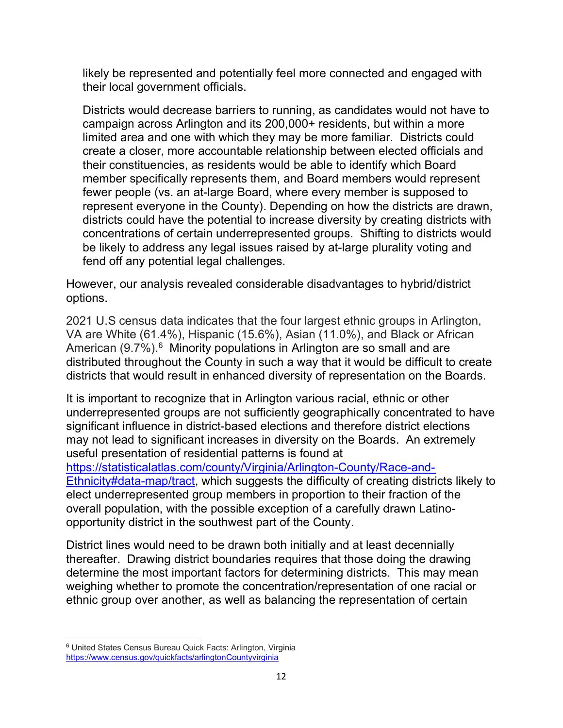likely be represented and potentially feel more connected and engaged with their local government officials.

Districts would decrease barriers to running, as candidates would not have to campaign across Arlington and its 200,000+ residents, but within a more limited area and one with which they may be more familiar. Districts could create a closer, more accountable relationship between elected officials and their constituencies, as residents would be able to identify which Board member specifically represents them, and Board members would represent fewer people (vs. an at-large Board, where every member is supposed to represent everyone in the County). Depending on how the districts are drawn, districts could have the potential to increase diversity by creating districts with concentrations of certain underrepresented groups. Shifting to districts would be likely to address any legal issues raised by at-large plurality voting and fend off any potential legal challenges.

However, our analysis revealed considerable disadvantages to hybrid/district options.

2021 U.S census data indicates that the four largest ethnic groups in Arlington, VA are White (61.4%), Hispanic (15.6%), Asian (11.0%), and Black or African American (9.7%).<sup>6</sup> Minority populations in Arlington are so small and are distributed throughout the County in such a way that it would be difficult to create districts that would result in enhanced diversity of representation on the Boards.

It is important to recognize that in Arlington various racial, ethnic or other underrepresented groups are not sufficiently geographically concentrated to have significant influence in district-based elections and therefore district elections may not lead to significant increases in diversity on the Boards. An extremely useful presentation of residential patterns is found at https://statisticalatlas.com/county/Virginia/Arlington-County/Race-and-Ethnicity#data-map/tract, which suggests the difficulty of creating districts likely to elect underrepresented group members in proportion to their fraction of the overall population, with the possible exception of a carefully drawn Latinoopportunity district in the southwest part of the County.

District lines would need to be drawn both initially and at least decennially thereafter. Drawing district boundaries requires that those doing the drawing determine the most important factors for determining districts. This may mean weighing whether to promote the concentration/representation of one racial or ethnic group over another, as well as balancing the representation of certain

<sup>6</sup> United States Census Bureau Quick Facts: Arlington, Virginia https://www.census.gov/quickfacts/arlingtonCountyvirginia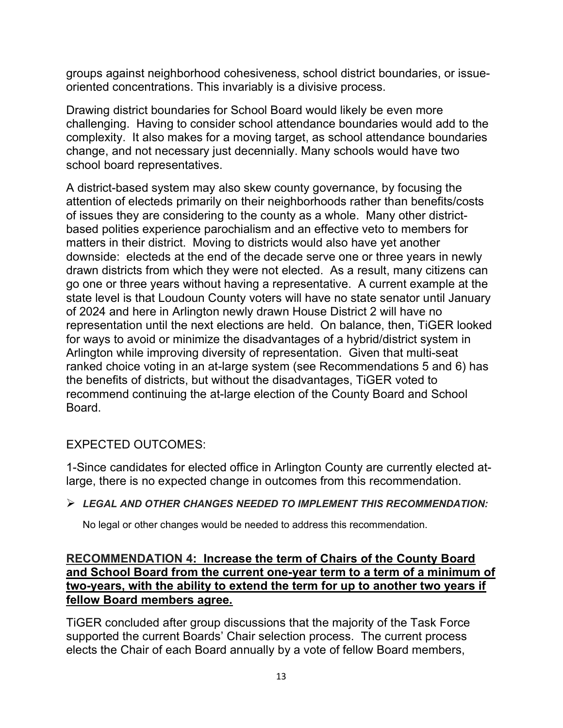groups against neighborhood cohesiveness, school district boundaries, or issueoriented concentrations. This invariably is a divisive process.

Drawing district boundaries for School Board would likely be even more challenging. Having to consider school attendance boundaries would add to the complexity. It also makes for a moving target, as school attendance boundaries change, and not necessary just decennially. Many schools would have two school board representatives.

A district-based system may also skew county governance, by focusing the attention of electeds primarily on their neighborhoods rather than benefits/costs of issues they are considering to the county as a whole. Many other districtbased polities experience parochialism and an effective veto to members for matters in their district. Moving to districts would also have yet another downside: electeds at the end of the decade serve one or three years in newly drawn districts from which they were not elected. As a result, many citizens can go one or three years without having a representative. A current example at the state level is that Loudoun County voters will have no state senator until January of 2024 and here in Arlington newly drawn House District 2 will have no representation until the next elections are held. On balance, then, TiGER looked for ways to avoid or minimize the disadvantages of a hybrid/district system in Arlington while improving diversity of representation. Given that multi-seat ranked choice voting in an at-large system (see Recommendations 5 and 6) has the benefits of districts, but without the disadvantages, TiGER voted to recommend continuing the at-large election of the County Board and School Board.

## EXPECTED OUTCOMES:

1-Since candidates for elected office in Arlington County are currently elected atlarge, there is no expected change in outcomes from this recommendation.

## $\triangleright$  LEGAL AND OTHER CHANGES NEEDED TO IMPLEMENT THIS RECOMMENDATION:

No legal or other changes would be needed to address this recommendation.

### RECOMMENDATION 4: Increase the term of Chairs of the County Board and School Board from the current one-year term to a term of a minimum of two-years, with the ability to extend the term for up to another two years if fellow Board members agree.

TiGER concluded after group discussions that the majority of the Task Force supported the current Boards' Chair selection process. The current process elects the Chair of each Board annually by a vote of fellow Board members,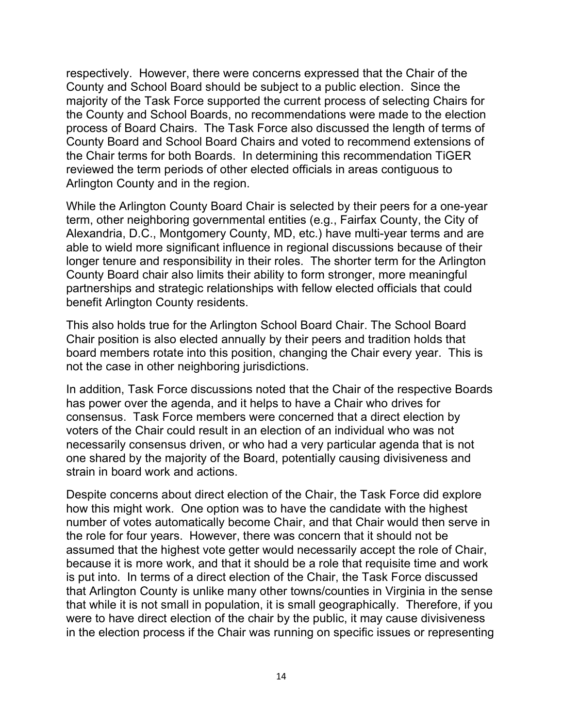respectively. However, there were concerns expressed that the Chair of the County and School Board should be subject to a public election. Since the majority of the Task Force supported the current process of selecting Chairs for the County and School Boards, no recommendations were made to the election process of Board Chairs. The Task Force also discussed the length of terms of County Board and School Board Chairs and voted to recommend extensions of the Chair terms for both Boards. In determining this recommendation TiGER reviewed the term periods of other elected officials in areas contiguous to Arlington County and in the region.

While the Arlington County Board Chair is selected by their peers for a one-year term, other neighboring governmental entities (e.g., Fairfax County, the City of Alexandria, D.C., Montgomery County, MD, etc.) have multi-year terms and are able to wield more significant influence in regional discussions because of their longer tenure and responsibility in their roles. The shorter term for the Arlington County Board chair also limits their ability to form stronger, more meaningful partnerships and strategic relationships with fellow elected officials that could benefit Arlington County residents.

This also holds true for the Arlington School Board Chair. The School Board Chair position is also elected annually by their peers and tradition holds that board members rotate into this position, changing the Chair every year. This is not the case in other neighboring jurisdictions.

In addition, Task Force discussions noted that the Chair of the respective Boards has power over the agenda, and it helps to have a Chair who drives for consensus. Task Force members were concerned that a direct election by voters of the Chair could result in an election of an individual who was not necessarily consensus driven, or who had a very particular agenda that is not one shared by the majority of the Board, potentially causing divisiveness and strain in board work and actions.

Despite concerns about direct election of the Chair, the Task Force did explore how this might work. One option was to have the candidate with the highest number of votes automatically become Chair, and that Chair would then serve in the role for four years. However, there was concern that it should not be assumed that the highest vote getter would necessarily accept the role of Chair, because it is more work, and that it should be a role that requisite time and work is put into. In terms of a direct election of the Chair, the Task Force discussed that Arlington County is unlike many other towns/counties in Virginia in the sense that while it is not small in population, it is small geographically. Therefore, if you were to have direct election of the chair by the public, it may cause divisiveness in the election process if the Chair was running on specific issues or representing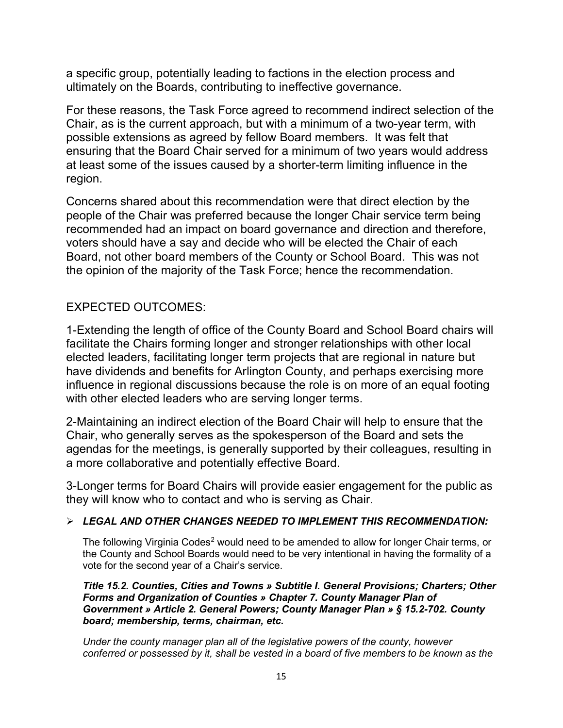a specific group, potentially leading to factions in the election process and ultimately on the Boards, contributing to ineffective governance.

For these reasons, the Task Force agreed to recommend indirect selection of the Chair, as is the current approach, but with a minimum of a two-year term, with possible extensions as agreed by fellow Board members. It was felt that ensuring that the Board Chair served for a minimum of two years would address at least some of the issues caused by a shorter-term limiting influence in the region.

Concerns shared about this recommendation were that direct election by the people of the Chair was preferred because the longer Chair service term being recommended had an impact on board governance and direction and therefore, voters should have a say and decide who will be elected the Chair of each Board, not other board members of the County or School Board. This was not the opinion of the majority of the Task Force; hence the recommendation.

### EXPECTED OUTCOMES:

1-Extending the length of office of the County Board and School Board chairs will facilitate the Chairs forming longer and stronger relationships with other local elected leaders, facilitating longer term projects that are regional in nature but have dividends and benefits for Arlington County, and perhaps exercising more influence in regional discussions because the role is on more of an equal footing with other elected leaders who are serving longer terms.

2-Maintaining an indirect election of the Board Chair will help to ensure that the Chair, who generally serves as the spokesperson of the Board and sets the agendas for the meetings, is generally supported by their colleagues, resulting in a more collaborative and potentially effective Board.

3-Longer terms for Board Chairs will provide easier engagement for the public as they will know who to contact and who is serving as Chair.

#### $\triangleright$  LEGAL AND OTHER CHANGES NEEDED TO IMPLEMENT THIS RECOMMENDATION:

The following Virginia Codes<sup>2</sup> would need to be amended to allow for longer Chair terms, or the County and School Boards would need to be very intentional in having the formality of a vote for the second year of a Chair's service.

Title 15.2. Counties, Cities and Towns » Subtitle I. General Provisions; Charters; Other Forms and Organization of Counties » Chapter 7. County Manager Plan of Government » Article 2. General Powers; County Manager Plan » § 15.2-702. County board; membership, terms, chairman, etc.

Under the county manager plan all of the legislative powers of the county, however conferred or possessed by it, shall be vested in a board of five members to be known as the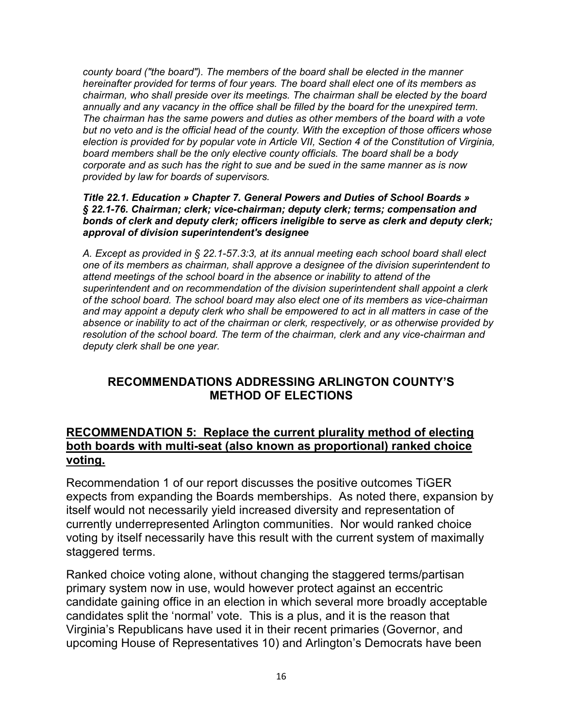county board ("the board"). The members of the board shall be elected in the manner hereinafter provided for terms of four years. The board shall elect one of its members as chairman, who shall preside over its meetings. The chairman shall be elected by the board annually and any vacancy in the office shall be filled by the board for the unexpired term. The chairman has the same powers and duties as other members of the board with a vote but no veto and is the official head of the county. With the exception of those officers whose election is provided for by popular vote in Article VII, Section 4 of the Constitution of Virginia, board members shall be the only elective county officials. The board shall be a body corporate and as such has the right to sue and be sued in the same manner as is now provided by law for boards of supervisors.

Title 22.1. Education » Chapter 7. General Powers and Duties of School Boards » § 22.1-76. Chairman; clerk; vice-chairman; deputy clerk; terms; compensation and bonds of clerk and deputy clerk; officers ineligible to serve as clerk and deputy clerk; approval of division superintendent's designee

A. Except as provided in § 22.1-57.3:3, at its annual meeting each school board shall elect one of its members as chairman, shall approve a designee of the division superintendent to attend meetings of the school board in the absence or inability to attend of the superintendent and on recommendation of the division superintendent shall appoint a clerk of the school board. The school board may also elect one of its members as vice-chairman and may appoint a deputy clerk who shall be empowered to act in all matters in case of the absence or inability to act of the chairman or clerk, respectively, or as otherwise provided by resolution of the school board. The term of the chairman, clerk and any vice-chairman and deputy clerk shall be one year.

## RECOMMENDATIONS ADDRESSING ARLINGTON COUNTY'S METHOD OF ELECTIONS

### RECOMMENDATION 5: Replace the current plurality method of electing both boards with multi-seat (also known as proportional) ranked choice voting.

Recommendation 1 of our report discusses the positive outcomes TiGER expects from expanding the Boards memberships. As noted there, expansion by itself would not necessarily yield increased diversity and representation of currently underrepresented Arlington communities. Nor would ranked choice voting by itself necessarily have this result with the current system of maximally staggered terms.

Ranked choice voting alone, without changing the staggered terms/partisan primary system now in use, would however protect against an eccentric candidate gaining office in an election in which several more broadly acceptable candidates split the 'normal' vote. This is a plus, and it is the reason that Virginia's Republicans have used it in their recent primaries (Governor, and upcoming House of Representatives 10) and Arlington's Democrats have been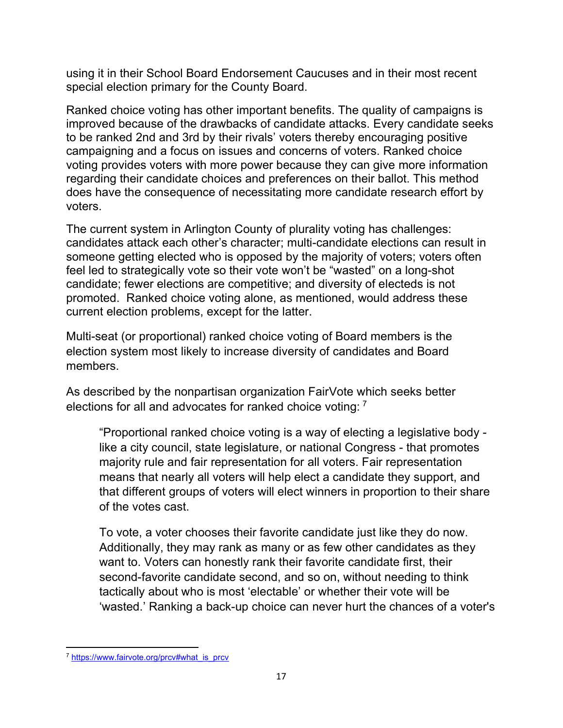using it in their School Board Endorsement Caucuses and in their most recent special election primary for the County Board.

Ranked choice voting has other important benefits. The quality of campaigns is improved because of the drawbacks of candidate attacks. Every candidate seeks to be ranked 2nd and 3rd by their rivals' voters thereby encouraging positive campaigning and a focus on issues and concerns of voters. Ranked choice voting provides voters with more power because they can give more information regarding their candidate choices and preferences on their ballot. This method does have the consequence of necessitating more candidate research effort by voters.

The current system in Arlington County of plurality voting has challenges: candidates attack each other's character; multi-candidate elections can result in someone getting elected who is opposed by the majority of voters; voters often feel led to strategically vote so their vote won't be "wasted" on a long-shot candidate; fewer elections are competitive; and diversity of electeds is not promoted. Ranked choice voting alone, as mentioned, would address these current election problems, except for the latter.

Multi-seat (or proportional) ranked choice voting of Board members is the election system most likely to increase diversity of candidates and Board members.

As described by the nonpartisan organization FairVote which seeks better elections for all and advocates for ranked choice voting: 7

"Proportional ranked choice voting is a way of electing a legislative body like a city council, state legislature, or national Congress - that promotes majority rule and fair representation for all voters. Fair representation means that nearly all voters will help elect a candidate they support, and that different groups of voters will elect winners in proportion to their share of the votes cast.

To vote, a voter chooses their favorite candidate just like they do now. Additionally, they may rank as many or as few other candidates as they want to. Voters can honestly rank their favorite candidate first, their second-favorite candidate second, and so on, without needing to think tactically about who is most 'electable' or whether their vote will be 'wasted.' Ranking a back-up choice can never hurt the chances of a voter's

<sup>7</sup> https://www.fairvote.org/prcv#what\_is\_prcv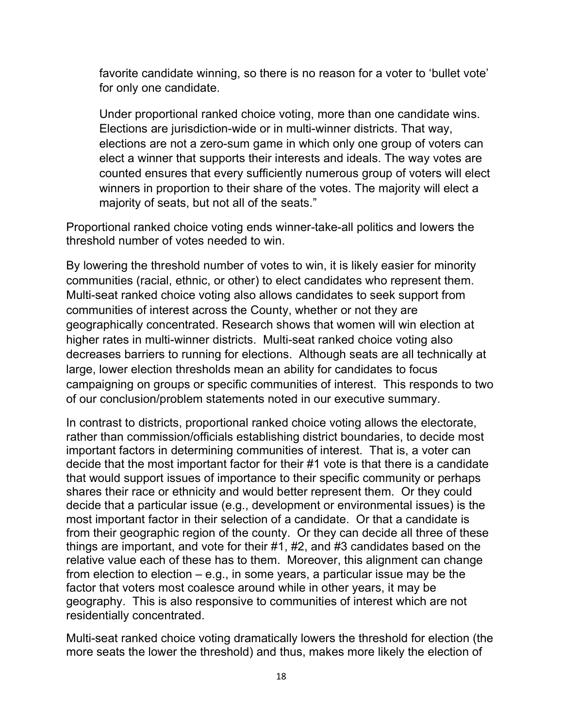favorite candidate winning, so there is no reason for a voter to 'bullet vote' for only one candidate.

Under proportional ranked choice voting, more than one candidate wins. Elections are jurisdiction-wide or in multi-winner districts. That way, elections are not a zero-sum game in which only one group of voters can elect a winner that supports their interests and ideals. The way votes are counted ensures that every sufficiently numerous group of voters will elect winners in proportion to their share of the votes. The majority will elect a majority of seats, but not all of the seats."

Proportional ranked choice voting ends winner-take-all politics and lowers the threshold number of votes needed to win.

By lowering the threshold number of votes to win, it is likely easier for minority communities (racial, ethnic, or other) to elect candidates who represent them. Multi-seat ranked choice voting also allows candidates to seek support from communities of interest across the County, whether or not they are geographically concentrated. Research shows that women will win election at higher rates in multi-winner districts. Multi-seat ranked choice voting also decreases barriers to running for elections. Although seats are all technically at large, lower election thresholds mean an ability for candidates to focus campaigning on groups or specific communities of interest. This responds to two of our conclusion/problem statements noted in our executive summary.

In contrast to districts, proportional ranked choice voting allows the electorate, rather than commission/officials establishing district boundaries, to decide most important factors in determining communities of interest. That is, a voter can decide that the most important factor for their #1 vote is that there is a candidate that would support issues of importance to their specific community or perhaps shares their race or ethnicity and would better represent them. Or they could decide that a particular issue (e.g., development or environmental issues) is the most important factor in their selection of a candidate. Or that a candidate is from their geographic region of the county. Or they can decide all three of these things are important, and vote for their #1, #2, and #3 candidates based on the relative value each of these has to them. Moreover, this alignment can change from election to election – e.g., in some years, a particular issue may be the factor that voters most coalesce around while in other years, it may be geography. This is also responsive to communities of interest which are not residentially concentrated.

Multi-seat ranked choice voting dramatically lowers the threshold for election (the more seats the lower the threshold) and thus, makes more likely the election of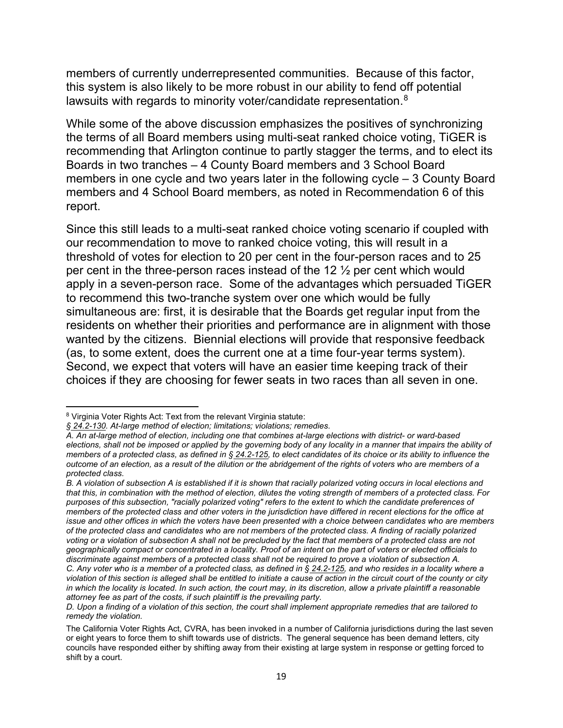members of currently underrepresented communities. Because of this factor, this system is also likely to be more robust in our ability to fend off potential lawsuits with regards to minority voter/candidate representation.<sup>8</sup>

While some of the above discussion emphasizes the positives of synchronizing the terms of all Board members using multi-seat ranked choice voting, TiGER is recommending that Arlington continue to partly stagger the terms, and to elect its Boards in two tranches – 4 County Board members and 3 School Board members in one cycle and two years later in the following cycle – 3 County Board members and 4 School Board members, as noted in Recommendation 6 of this report.

Since this still leads to a multi-seat ranked choice voting scenario if coupled with our recommendation to move to ranked choice voting, this will result in a threshold of votes for election to 20 per cent in the four-person races and to 25 per cent in the three-person races instead of the 12 ½ per cent which would apply in a seven-person race. Some of the advantages which persuaded TiGER to recommend this two-tranche system over one which would be fully simultaneous are: first, it is desirable that the Boards get regular input from the residents on whether their priorities and performance are in alignment with those wanted by the citizens. Biennial elections will provide that responsive feedback (as, to some extent, does the current one at a time four-year terms system). Second, we expect that voters will have an easier time keeping track of their choices if they are choosing for fewer seats in two races than all seven in one.

<sup>&</sup>lt;sup>8</sup> Virginia Voter Rights Act: Text from the relevant Virginia statute:

<sup>§ 24.2-130.</sup> At-large method of election; limitations; violations; remedies.

A. An at-large method of election, including one that combines at-large elections with district- or ward-based elections, shall not be imposed or applied by the governing body of any locality in a manner that impairs the ability of members of a protected class, as defined in § 24.2-125, to elect candidates of its choice or its ability to influence the outcome of an election, as a result of the dilution or the abridgement of the rights of voters who are members of a protected class.

B. A violation of subsection A is established if it is shown that racially polarized voting occurs in local elections and that this, in combination with the method of election, dilutes the voting strength of members of a protected class. For purposes of this subsection, "racially polarized voting" refers to the extent to which the candidate preferences of members of the protected class and other voters in the jurisdiction have differed in recent elections for the office at issue and other offices in which the voters have been presented with a choice between candidates who are members of the protected class and candidates who are not members of the protected class. A finding of racially polarized voting or a violation of subsection A shall not be precluded by the fact that members of a protected class are not geographically compact or concentrated in a locality. Proof of an intent on the part of voters or elected officials to discriminate against members of a protected class shall not be required to prove a violation of subsection A. C. Any voter who is a member of a protected class, as defined in § 24.2-125, and who resides in a locality where a violation of this section is alleged shall be entitled to initiate a cause of action in the circuit court of the county or city in which the locality is located. In such action, the court may, in its discretion, allow a private plaintiff a reasonable attorney fee as part of the costs, if such plaintiff is the prevailing party.

D. Upon a finding of a violation of this section, the court shall implement appropriate remedies that are tailored to remedy the violation.

The California Voter Rights Act, CVRA, has been invoked in a number of California jurisdictions during the last seven or eight years to force them to shift towards use of districts. The general sequence has been demand letters, city councils have responded either by shifting away from their existing at large system in response or getting forced to shift by a court.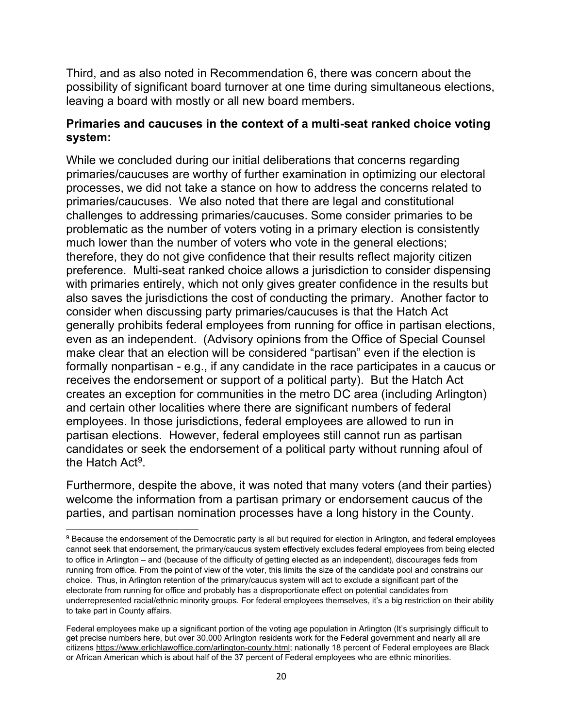Third, and as also noted in Recommendation 6, there was concern about the possibility of significant board turnover at one time during simultaneous elections, leaving a board with mostly or all new board members.

#### Primaries and caucuses in the context of a multi-seat ranked choice voting system:

While we concluded during our initial deliberations that concerns regarding primaries/caucuses are worthy of further examination in optimizing our electoral processes, we did not take a stance on how to address the concerns related to primaries/caucuses. We also noted that there are legal and constitutional challenges to addressing primaries/caucuses. Some consider primaries to be problematic as the number of voters voting in a primary election is consistently much lower than the number of voters who vote in the general elections; therefore, they do not give confidence that their results reflect majority citizen preference. Multi-seat ranked choice allows a jurisdiction to consider dispensing with primaries entirely, which not only gives greater confidence in the results but also saves the jurisdictions the cost of conducting the primary. Another factor to consider when discussing party primaries/caucuses is that the Hatch Act generally prohibits federal employees from running for office in partisan elections, even as an independent. (Advisory opinions from the Office of Special Counsel make clear that an election will be considered "partisan" even if the election is formally nonpartisan - e.g., if any candidate in the race participates in a caucus or receives the endorsement or support of a political party). But the Hatch Act creates an exception for communities in the metro DC area (including Arlington) and certain other localities where there are significant numbers of federal employees. In those jurisdictions, federal employees are allowed to run in partisan elections. However, federal employees still cannot run as partisan candidates or seek the endorsement of a political party without running afoul of the Hatch Act<sup>9</sup>.

Furthermore, despite the above, it was noted that many voters (and their parties) welcome the information from a partisan primary or endorsement caucus of the parties, and partisan nomination processes have a long history in the County.

 $9$  Because the endorsement of the Democratic party is all but required for election in Arlington, and federal employees cannot seek that endorsement, the primary/caucus system effectively excludes federal employees from being elected to office in Arlington – and (because of the difficulty of getting elected as an independent), discourages feds from running from office. From the point of view of the voter, this limits the size of the candidate pool and constrains our choice. Thus, in Arlington retention of the primary/caucus system will act to exclude a significant part of the electorate from running for office and probably has a disproportionate effect on potential candidates from underrepresented racial/ethnic minority groups. For federal employees themselves, it's a big restriction on their ability to take part in County affairs.

Federal employees make up a significant portion of the voting age population in Arlington (It's surprisingly difficult to get precise numbers here, but over 30,000 Arlington residents work for the Federal government and nearly all are citizens https://www.erlichlawoffice.com/arlington-county.html; nationally 18 percent of Federal employees are Black or African American which is about half of the 37 percent of Federal employees who are ethnic minorities.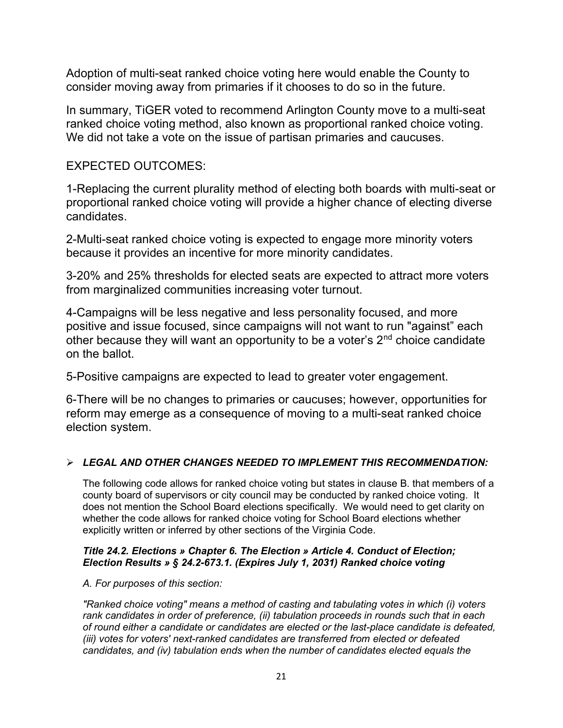Adoption of multi-seat ranked choice voting here would enable the County to consider moving away from primaries if it chooses to do so in the future.

In summary, TiGER voted to recommend Arlington County move to a multi-seat ranked choice voting method, also known as proportional ranked choice voting. We did not take a vote on the issue of partisan primaries and caucuses.

### EXPECTED OUTCOMES:

1-Replacing the current plurality method of electing both boards with multi-seat or proportional ranked choice voting will provide a higher chance of electing diverse candidates.

2-Multi-seat ranked choice voting is expected to engage more minority voters because it provides an incentive for more minority candidates.

3-20% and 25% thresholds for elected seats are expected to attract more voters from marginalized communities increasing voter turnout.

4-Campaigns will be less negative and less personality focused, and more positive and issue focused, since campaigns will not want to run "against" each other because they will want an opportunity to be a voter's 2<sup>nd</sup> choice candidate on the ballot.

5-Positive campaigns are expected to lead to greater voter engagement.

6-There will be no changes to primaries or caucuses; however, opportunities for reform may emerge as a consequence of moving to a multi-seat ranked choice election system.

#### $\geqslant$  LEGAL AND OTHER CHANGES NEEDED TO IMPLEMENT THIS RECOMMENDATION:

The following code allows for ranked choice voting but states in clause B. that members of a county board of supervisors or city council may be conducted by ranked choice voting. It does not mention the School Board elections specifically. We would need to get clarity on whether the code allows for ranked choice voting for School Board elections whether explicitly written or inferred by other sections of the Virginia Code.

#### Title 24.2. Elections » Chapter 6. The Election » Article 4. Conduct of Election; Election Results » § 24.2-673.1. (Expires July 1, 2031) Ranked choice voting

A. For purposes of this section:

"Ranked choice voting" means a method of casting and tabulating votes in which (i) voters rank candidates in order of preference, (ii) tabulation proceeds in rounds such that in each of round either a candidate or candidates are elected or the last-place candidate is defeated, (iii) votes for voters' next-ranked candidates are transferred from elected or defeated candidates, and (iv) tabulation ends when the number of candidates elected equals the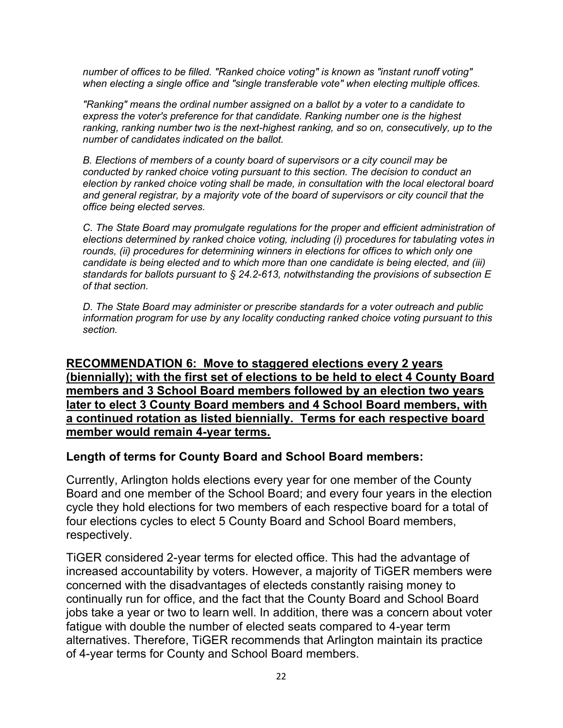number of offices to be filled. "Ranked choice voting" is known as "instant runoff voting" when electing a single office and "single transferable vote" when electing multiple offices.

"Ranking" means the ordinal number assigned on a ballot by a voter to a candidate to express the voter's preference for that candidate. Ranking number one is the highest ranking, ranking number two is the next-highest ranking, and so on, consecutively, up to the number of candidates indicated on the ballot.

B. Elections of members of a county board of supervisors or a city council may be conducted by ranked choice voting pursuant to this section. The decision to conduct an election by ranked choice voting shall be made, in consultation with the local electoral board and general registrar, by a majority vote of the board of supervisors or city council that the office being elected serves.

C. The State Board may promulgate regulations for the proper and efficient administration of elections determined by ranked choice voting, including (i) procedures for tabulating votes in rounds, (ii) procedures for determining winners in elections for offices to which only one candidate is being elected and to which more than one candidate is being elected, and (iii) standards for ballots pursuant to § 24.2-613, notwithstanding the provisions of subsection E of that section.

D. The State Board may administer or prescribe standards for a voter outreach and public information program for use by any locality conducting ranked choice voting pursuant to this section.

#### RECOMMENDATION 6: Move to staggered elections every 2 years (biennially); with the first set of elections to be held to elect 4 County Board members and 3 School Board members followed by an election two years later to elect 3 County Board members and 4 School Board members, with a continued rotation as listed biennially. Terms for each respective board member would remain 4-year terms.

#### Length of terms for County Board and School Board members:

Currently, Arlington holds elections every year for one member of the County Board and one member of the School Board; and every four years in the election cycle they hold elections for two members of each respective board for a total of four elections cycles to elect 5 County Board and School Board members, respectively.

TiGER considered 2-year terms for elected office. This had the advantage of increased accountability by voters. However, a majority of TiGER members were concerned with the disadvantages of electeds constantly raising money to continually run for office, and the fact that the County Board and School Board jobs take a year or two to learn well. In addition, there was a concern about voter fatigue with double the number of elected seats compared to 4-year term alternatives. Therefore, TiGER recommends that Arlington maintain its practice of 4-year terms for County and School Board members.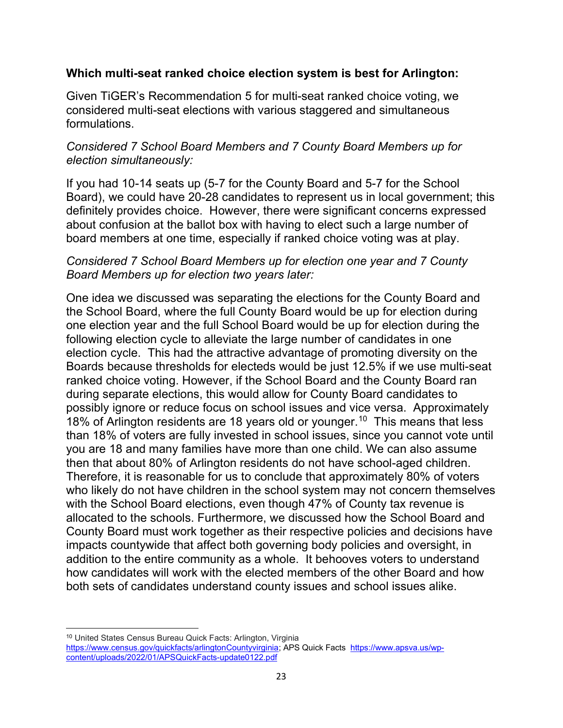#### Which multi-seat ranked choice election system is best for Arlington:

Given TiGER's Recommendation 5 for multi-seat ranked choice voting, we considered multi-seat elections with various staggered and simultaneous formulations.

## Considered 7 School Board Members and 7 County Board Members up for election simultaneously:

If you had 10-14 seats up (5-7 for the County Board and 5-7 for the School Board), we could have 20-28 candidates to represent us in local government; this definitely provides choice. However, there were significant concerns expressed about confusion at the ballot box with having to elect such a large number of board members at one time, especially if ranked choice voting was at play.

### Considered 7 School Board Members up for election one year and 7 County Board Members up for election two years later:

One idea we discussed was separating the elections for the County Board and the School Board, where the full County Board would be up for election during one election year and the full School Board would be up for election during the following election cycle to alleviate the large number of candidates in one election cycle. This had the attractive advantage of promoting diversity on the Boards because thresholds for electeds would be just 12.5% if we use multi-seat ranked choice voting. However, if the School Board and the County Board ran during separate elections, this would allow for County Board candidates to possibly ignore or reduce focus on school issues and vice versa. Approximately 18% of Arlington residents are 18 years old or younger.<sup>10</sup> This means that less than 18% of voters are fully invested in school issues, since you cannot vote until you are 18 and many families have more than one child. We can also assume then that about 80% of Arlington residents do not have school-aged children. Therefore, it is reasonable for us to conclude that approximately 80% of voters who likely do not have children in the school system may not concern themselves with the School Board elections, even though 47% of County tax revenue is allocated to the schools. Furthermore, we discussed how the School Board and County Board must work together as their respective policies and decisions have impacts countywide that affect both governing body policies and oversight, in addition to the entire community as a whole. It behooves voters to understand how candidates will work with the elected members of the other Board and how both sets of candidates understand county issues and school issues alike.

<sup>10</sup> United States Census Bureau Quick Facts: Arlington, Virginia https://www.census.gov/quickfacts/arlingtonCountyvirginia; APS Quick Facts https://www.apsva.us/wpcontent/uploads/2022/01/APSQuickFacts-update0122.pdf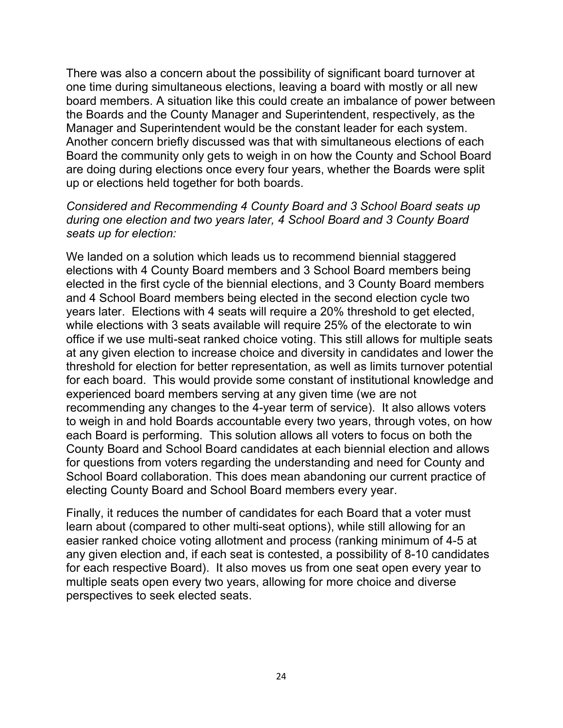There was also a concern about the possibility of significant board turnover at one time during simultaneous elections, leaving a board with mostly or all new board members. A situation like this could create an imbalance of power between the Boards and the County Manager and Superintendent, respectively, as the Manager and Superintendent would be the constant leader for each system. Another concern briefly discussed was that with simultaneous elections of each Board the community only gets to weigh in on how the County and School Board are doing during elections once every four years, whether the Boards were split up or elections held together for both boards.

Considered and Recommending 4 County Board and 3 School Board seats up during one election and two years later, 4 School Board and 3 County Board seats up for election:

We landed on a solution which leads us to recommend biennial staggered elections with 4 County Board members and 3 School Board members being elected in the first cycle of the biennial elections, and 3 County Board members and 4 School Board members being elected in the second election cycle two years later. Elections with 4 seats will require a 20% threshold to get elected, while elections with 3 seats available will require 25% of the electorate to win office if we use multi-seat ranked choice voting. This still allows for multiple seats at any given election to increase choice and diversity in candidates and lower the threshold for election for better representation, as well as limits turnover potential for each board. This would provide some constant of institutional knowledge and experienced board members serving at any given time (we are not recommending any changes to the 4-year term of service). It also allows voters to weigh in and hold Boards accountable every two years, through votes, on how each Board is performing. This solution allows all voters to focus on both the County Board and School Board candidates at each biennial election and allows for questions from voters regarding the understanding and need for County and School Board collaboration. This does mean abandoning our current practice of electing County Board and School Board members every year.

Finally, it reduces the number of candidates for each Board that a voter must learn about (compared to other multi-seat options), while still allowing for an easier ranked choice voting allotment and process (ranking minimum of 4-5 at any given election and, if each seat is contested, a possibility of 8-10 candidates for each respective Board). It also moves us from one seat open every year to multiple seats open every two years, allowing for more choice and diverse perspectives to seek elected seats.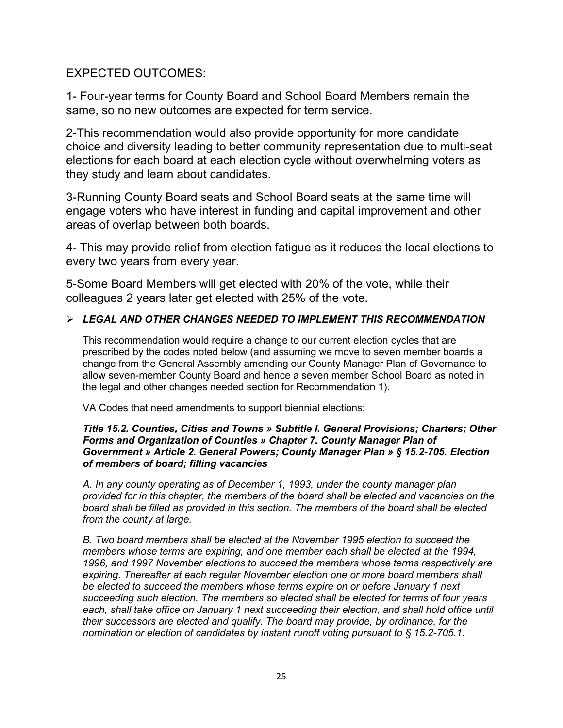#### EXPECTED OUTCOMES:

1- Four-year terms for County Board and School Board Members remain the same, so no new outcomes are expected for term service.

2-This recommendation would also provide opportunity for more candidate choice and diversity leading to better community representation due to multi-seat elections for each board at each election cycle without overwhelming voters as they study and learn about candidates.

3-Running County Board seats and School Board seats at the same time will engage voters who have interest in funding and capital improvement and other areas of overlap between both boards.

4- This may provide relief from election fatigue as it reduces the local elections to every two years from every year.

5-Some Board Members will get elected with 20% of the vote, while their colleagues 2 years later get elected with 25% of the vote.

#### LEGAL AND OTHER CHANGES NEEDED TO IMPLEMENT THIS RECOMMENDATION

This recommendation would require a change to our current election cycles that are prescribed by the codes noted below (and assuming we move to seven member boards a change from the General Assembly amending our County Manager Plan of Governance to allow seven-member County Board and hence a seven member School Board as noted in the legal and other changes needed section for Recommendation 1).

VA Codes that need amendments to support biennial elections:

#### Title 15.2. Counties, Cities and Towns » Subtitle I. General Provisions; Charters; Other Forms and Organization of Counties » Chapter 7. County Manager Plan of Government » Article 2. General Powers; County Manager Plan » § 15.2-705. Election of members of board; filling vacancies

A. In any county operating as of December 1, 1993, under the county manager plan provided for in this chapter, the members of the board shall be elected and vacancies on the board shall be filled as provided in this section. The members of the board shall be elected from the county at large.

B. Two board members shall be elected at the November 1995 election to succeed the members whose terms are expiring, and one member each shall be elected at the 1994, 1996, and 1997 November elections to succeed the members whose terms respectively are expiring. Thereafter at each regular November election one or more board members shall be elected to succeed the members whose terms expire on or before January 1 next succeeding such election. The members so elected shall be elected for terms of four years each, shall take office on January 1 next succeeding their election, and shall hold office until their successors are elected and qualify. The board may provide, by ordinance, for the nomination or election of candidates by instant runoff voting pursuant to § 15.2-705.1.